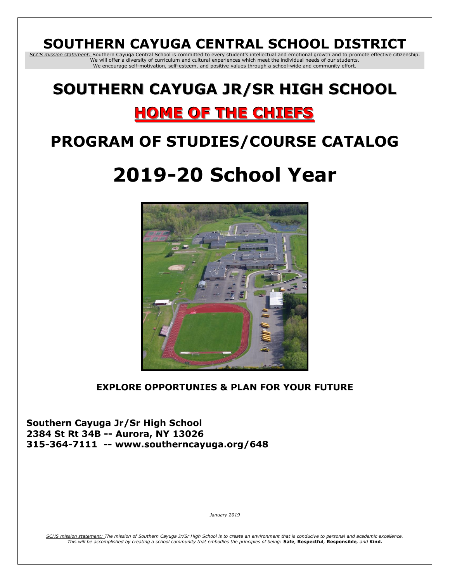# **SOUTHERN CAYUGA CENTRAL SCHOOL DISTRICT**

*SCCS mission statement:* Southern Cayuga Central School is committed to every student's intellectual and emotional growth and to promote effective citizenship. We will offer a diversity of curriculum and cultural experiences which meet the individual needs of our students. We encourage self-motivation, self-esteem, and positive values through a school-wide and community effort.

# **SOUTHERN CAYUGA JR/SR HIGH SCHOOL**

# **HOME OF THE CHIEFS**

# **PROGRAM OF STUDIES/COURSE CATALOG**

# **2019-20 School Year**



## **EXPLORE OPPORTUNIES & PLAN FOR YOUR FUTURE**

**Southern Cayuga Jr/Sr High School 2384 St Rt 34B -- Aurora, NY 13026 315-364-7111 -- www.southerncayuga.org/648** 

*January 2019*

*SCHS mission statement: The mission of Southern Cayuga Jr/Sr High School is to create an environment that is conducive to personal and academic excellence. This will be accomplished by creating a school community that embodies the principles of being:* **Safe***,* **Respectful***,* **Responsible***, and* **Kind.**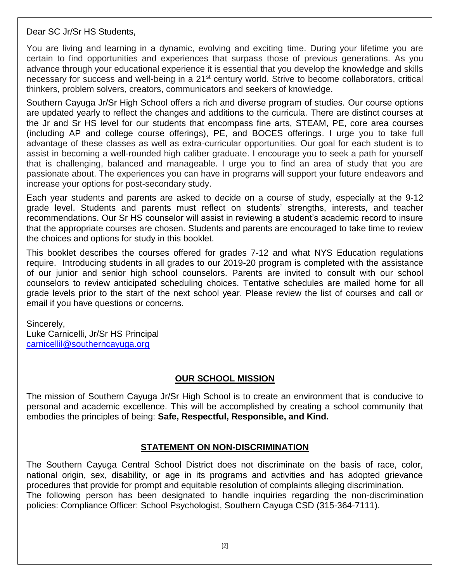Dear SC Jr/Sr HS Students,

You are living and learning in a dynamic, evolving and exciting time. During your lifetime you are certain to find opportunities and experiences that surpass those of previous generations. As you advance through your educational experience it is essential that you develop the knowledge and skills necessary for success and well-being in a 21<sup>st</sup> century world. Strive to become collaborators, critical thinkers, problem solvers, creators, communicators and seekers of knowledge.

Southern Cayuga Jr/Sr High School offers a rich and diverse program of studies. Our course options are updated yearly to reflect the changes and additions to the curricula. There are distinct courses at the Jr and Sr HS level for our students that encompass fine arts, STEAM, PE, core area courses (including AP and college course offerings), PE, and BOCES offerings. I urge you to take full advantage of these classes as well as extra-curricular opportunities. Our goal for each student is to assist in becoming a well-rounded high caliber graduate. I encourage you to seek a path for yourself that is challenging, balanced and manageable. I urge you to find an area of study that you are passionate about. The experiences you can have in programs will support your future endeavors and increase your options for post-secondary study.

Each year students and parents are asked to decide on a course of study, especially at the 9-12 grade level. Students and parents must reflect on students' strengths, interests, and teacher recommendations. Our Sr HS counselor will assist in reviewing a student's academic record to insure that the appropriate courses are chosen. Students and parents are encouraged to take time to review the choices and options for study in this booklet.

This booklet describes the courses offered for grades 7-12 and what NYS Education regulations require. Introducing students in all grades to our 2019-20 program is completed with the assistance of our junior and senior high school counselors. Parents are invited to consult with our school counselors to review anticipated scheduling choices. Tentative schedules are mailed home for all grade levels prior to the start of the next school year. Please review the list of courses and call or email if you have questions or concerns.

Sincerely,

Luke Carnicelli, Jr/Sr HS Principal [carnicellil@southerncayuga.org](mailto:carnicellil@southerncayuga.org)

## **OUR SCHOOL MISSION**

The mission of Southern Cayuga Jr/Sr High School is to create an environment that is conducive to personal and academic excellence. This will be accomplished by creating a school community that embodies the principles of being: **Safe, Respectful, Responsible, and Kind.**

## **STATEMENT ON NON-DISCRIMINATION**

The Southern Cayuga Central School District does not discriminate on the basis of race, color, national origin, sex, disability, or age in its programs and activities and has adopted grievance procedures that provide for prompt and equitable resolution of complaints alleging discrimination. The following person has been designated to handle inquiries regarding the non-discrimination policies: Compliance Officer: School Psychologist, Southern Cayuga CSD (315-364-7111).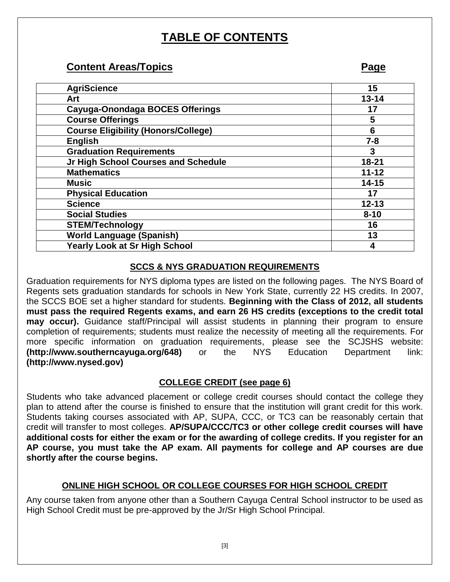# **TABLE OF CONTENTS**

## **Content Areas/Topics Page**

| <b>AgriScience</b>                         | 15        |
|--------------------------------------------|-----------|
| Art                                        | $13 - 14$ |
| Cayuga-Onondaga BOCES Offerings            | 17        |
| <b>Course Offerings</b>                    | 5         |
| <b>Course Eligibility (Honors/College)</b> | 6         |
| <b>English</b>                             | $7 - 8$   |
| <b>Graduation Requirements</b>             | 3         |
| Jr High School Courses and Schedule        | $18 - 21$ |
| <b>Mathematics</b>                         | $11 - 12$ |
| <b>Music</b>                               | $14 - 15$ |
| <b>Physical Education</b>                  | 17        |
| <b>Science</b>                             | $12 - 13$ |
| <b>Social Studies</b>                      | $8 - 10$  |
| <b>STEM/Technology</b>                     | 16        |
| <b>World Language (Spanish)</b>            | 13        |
| <b>Yearly Look at Sr High School</b>       | 4         |

## **SCCS & NYS GRADUATION REQUIREMENTS**

Graduation requirements for NYS diploma types are listed on the following pages. The NYS Board of Regents sets graduation standards for schools in New York State, currently 22 HS credits. In 2007, the SCCS BOE set a higher standard for students. **Beginning with the Class of 2012, all students must pass the required Regents exams, and earn 26 HS credits (exceptions to the credit total may occur).** Guidance staff/Principal will assist students in planning their program to ensure completion of requirements; students must realize the necessity of meeting all the requirements. For more specific information on graduation requirements, please see the SCJSHS website: **(http://www.southerncayuga.org/648)** or the NYS Education Department link: **(http://www.nysed.gov)**

## **COLLEGE CREDIT (see page 6)**

Students who take advanced placement or college credit courses should contact the college they plan to attend after the course is finished to ensure that the institution will grant credit for this work. Students taking courses associated with AP, SUPA, CCC, or TC3 can be reasonably certain that credit will transfer to most colleges. **AP/SUPA/CCC/TC3 or other college credit courses will have additional costs for either the exam or for the awarding of college credits. If you register for an AP course, you must take the AP exam. All payments for college and AP courses are due shortly after the course begins.** 

## **ONLINE HIGH SCHOOL OR COLLEGE COURSES FOR HIGH SCHOOL CREDIT**

Any course taken from anyone other than a Southern Cayuga Central School instructor to be used as High School Credit must be pre-approved by the Jr/Sr High School Principal.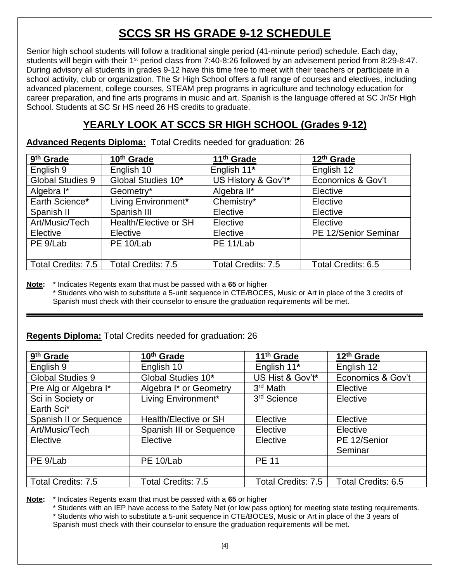# **SCCS SR HS GRADE 9-12 SCHEDULE**

Senior high school students will follow a traditional single period (41-minute period) schedule. Each day, students will begin with their 1<sup>st</sup> period class from 7:40-8:26 followed by an advisement period from 8:29-8:47. During advisory all students in grades 9-12 have this time free to meet with their teachers or participate in a school activity, club or organization. The Sr High School offers a full range of courses and electives, including advanced placement, college courses, STEAM prep programs in agriculture and technology education for career preparation, and fine arts programs in music and art. Spanish is the language offered at SC Jr/Sr High School. Students at SC Sr HS need 26 HS credits to graduate.

## **YEARLY LOOK AT SCCS SR HIGH SCHOOL (Grades 9-12)**

**Advanced Regents Diploma:** Total Credits needed for graduation: 26

| 9 <sup>th</sup> Grade | 10 <sup>th</sup> Grade | 11 <sup>th</sup> Grade    | 12 <sup>th</sup> Grade |
|-----------------------|------------------------|---------------------------|------------------------|
| English 9             | English 10             | English 11*               | English 12             |
| Global Studies 9      | Global Studies 10*     | US History & Gov't*       | Economics & Gov't      |
| Algebra I*            | Geometry*              | Algebra II*               | Elective               |
| Earth Science*        | Living Environment*    | Chemistry*                | Elective               |
| Spanish II            | Spanish III            | Elective                  | Elective               |
| Art/Music/Tech        | Health/Elective or SH  | Elective                  | Elective               |
| Elective              | Elective               | Elective                  | PE 12/Senior Seminar   |
| PE 9/Lab              | PE 10/Lab              | PE 11/Lab                 |                        |
|                       |                        |                           |                        |
| Total Credits: 7.5    | Total Credits: 7.5     | <b>Total Credits: 7.5</b> | Total Credits: 6.5     |

**Note:** \* Indicates Regents exam that must be passed with a **65** or higher \* Students who wish to substitute a 5-unit sequence in CTE/BOCES, Music or Art in place of the 3 credits of Spanish must check with their counselor to ensure the graduation requirements will be met.

## **Regents Diploma:** Total Credits needed for graduation: 26

| 9 <sup>th</sup> Grade     | 10 <sup>th</sup> Grade    | 11 <sup>th</sup> Grade    | 12 <sup>th</sup> Grade |
|---------------------------|---------------------------|---------------------------|------------------------|
| English 9                 | English 10                | English 11*               | English 12             |
| Global Studies 9          | Global Studies 10*        | US Hist & Gov't*          | Economics & Gov't      |
| Pre Alg or Algebra I*     | Algebra I* or Geometry    | 3rd Math                  | Elective               |
| Sci in Society or         | Living Environment*       | 3 <sup>rd</sup> Science   | Elective               |
| Earth Sci*                |                           |                           |                        |
| Spanish II or Sequence    | Health/Elective or SH     | Elective                  | Elective               |
| Art/Music/Tech            | Spanish III or Sequence   | Elective                  | Elective               |
| Elective                  | Elective                  | Elective                  | PE 12/Senior           |
|                           |                           |                           | Seminar                |
| PE 9/Lab                  | PE 10/Lab                 | <b>PE 11</b>              |                        |
|                           |                           |                           |                        |
| <b>Total Credits: 7.5</b> | <b>Total Credits: 7.5</b> | <b>Total Credits: 7.5</b> | Total Credits: 6.5     |

**Note:** \* Indicates Regents exam that must be passed with a **65** or higher

\* Students with an IEP have access to the Safety Net (or low pass option) for meeting state testing requirements.

\* Students who wish to substitute a 5-unit sequence in CTE/BOCES, Music or Art in place of the 3 years of Spanish must check with their counselor to ensure the graduation requirements will be met.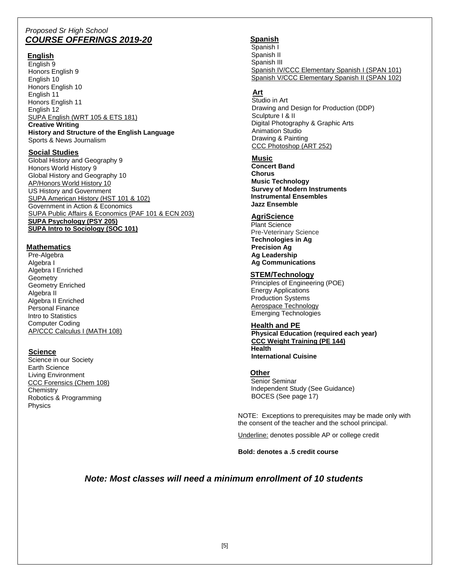#### *Proposed Sr High School COURSE OFFERINGS 2019-20*

#### **English**

English 9 Honors English 9 English 10 Honors English 10 English 11 Honors English 11 English 12 SUPA English (WRT 105 & ETS 181) **Creative Writing History and Structure of the English Language** Sports & News Journalism

#### **Social Studies**

Global History and Geography 9 Honors World History 9 Global History and Geography 10 AP/Honors World History 10 US History and Government SUPA American History (HST 101 & 102) Government in Action & Economics SUPA Public Affairs & Economics (PAF 101 & ECN 203) **SUPA Psychology (PSY 205) SUPA Intro to Sociology (SOC 101)**

#### **Mathematics**

Pre-Algebra Algebra I Algebra I Enriched **Geometry** Geometry Enriched Algebra II Algebra II Enriched Personal Finance Intro to Statistics Computer Coding AP/CCC Calculus I (MATH 108)

#### **Science**

Science in our Society Earth Science Living Environment CCC Forensics (Chem 108) **Chemistry**  Robotics & Programming Physics

#### **Spanish**

Spanish I Spanish II Spanish III Spanish IV/CCC Elementary Spanish I (SPAN 101) Spanish V/CCC Elementary Spanish II (SPAN 102)

#### **Art**

 Studio in Art Drawing and Design for Production (DDP) Sculpture I & II Digital Photography & Graphic Arts Animation Studio Drawing & Painting CCC Photoshop (ART 252)

#### **Music**

**Concert Band Chorus Music Technology Survey of Modern Instruments Instrumental Ensembles Jazz Ensemble**

#### **AgriScience**

 Plant Science Pre-Veterinary Science  **Technologies in Ag Precision Ag Ag Leadership Ag Communications**

#### **STEM/Technology**

 Principles of Engineering (POE) Energy Applications Production Systems Aerospace Technology Emerging Technologies

#### **Health and PE**

**Physical Education (required each year) CCC Weight Training (PE 144) Health International Cuisine**

#### **Other**

 Senior Seminar Independent Study (See Guidance) BOCES (See page 17)

NOTE: Exceptions to prerequisites may be made only with the consent of the teacher and the school principal.

Underline: denotes possible AP or college credit

**Bold: denotes a .5 credit course**

#### *Note: Most classes will need a minimum enrollment of 10 students*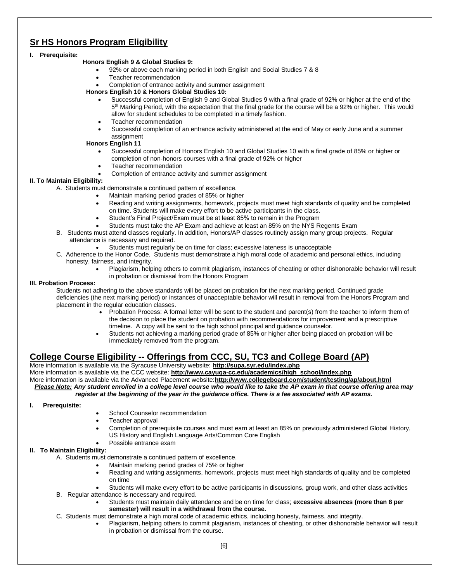## **Sr HS Honors Program Eligibility**

#### **I. Prerequisite:**

#### **Honors English 9 & Global Studies 9:**

- 92% or above each marking period in both English and Social Studies 7 & 8
- Teacher recommendation
- Completion of entrance activity and summer assignment

#### **Honors English 10 & Honors Global Studies 10:**

- Successful completion of English 9 and Global Studies 9 with a final grade of 92% or higher at the end of the 5<sup>th</sup> Marking Period, with the expectation that the final grade for the course will be a 92% or higher. This would allow for student schedules to be completed in a timely fashion.
- Teacher recommendation
- Successful completion of an entrance activity administered at the end of May or early June and a summer assignment

#### **Honors English 11**

- Successful completion of Honors English 10 and Global Studies 10 with a final grade of 85% or higher or completion of non-honors courses with a final grade of 92% or higher
- Teacher recommendation
- Completion of entrance activity and summer assignment

#### **II. To Maintain Eligibility:**

- A. Students must demonstrate a continued pattern of excellence.
	- Maintain marking period grades of 85% or higher
	- Reading and writing assignments, homework, projects must meet high standards of quality and be completed on time. Students will make every effort to be active participants in the class.
	- Student's Final Project/Exam must be at least 85% to remain in the Program
	- Students must take the AP Exam and achieve at least an 85% on the NYS Regents Exam
- B. Students must attend classes regularly. In addition, Honors/AP classes routinely assign many group projects. Regular attendance is necessary and required.
	- Students must regularly be on time for class; excessive lateness is unacceptable
- C. Adherence to the Honor Code. Students must demonstrate a high moral code of academic and personal ethics, including honesty, fairness, and integrity.
	- Plagiarism, helping others to commit plagiarism, instances of cheating or other dishonorable behavior will result in probation or dismissal from the Honors Program

#### **III. Probation Process:**

Students not adhering to the above standards will be placed on probation for the next marking period. Continued grade deficiencies (the next marking period) or instances of unacceptable behavior will result in removal from the Honors Program and placement in the regular education classes.

- Probation Process: A formal letter will be sent to the student and parent(s) from the teacher to inform them of the decision to place the student on probation with recommendations for improvement and a prescriptive timeline. A copy will be sent to the high school principal and guidance counselor.
- Students not achieving a marking period grade of 85% or higher after being placed on probation will be immediately removed from the program.

## **College Course Eligibility -- Offerings from CCC, SU, TC3 and College Board (AP)**

More information is available via the Syracuse University website: **http://supa.syr.edu/index.php**

More information is available via the CCC website: **http://www.cayuga-cc.edu/academics/high\_school/index.php**

More information is available via the Advanced Placement website:**<http://www.collegeboard.com/student/testing/ap/about.html>**

*Please Note: Any student enrolled in a college level course who would like to take the AP exam in that course offering area may register at the beginning of the year in the guidance office. There is a fee associated with AP exams.*

#### **I. Prerequisite:**

- School Counselor recommendation
- Teacher approval
- Completion of prerequisite courses and must earn at least an 85% on previously administered Global History, US History and English Language Arts/Common Core English
- Possible entrance exam

#### **II. To Maintain Eligibility:**

A. Students must demonstrate a continued pattern of excellence.

- Maintain marking period grades of 75% or higher
- Reading and writing assignments, homework, projects must meet high standards of quality and be completed on time
- Students will make every effort to be active participants in discussions, group work, and other class activities
- B. Regular attendance is necessary and required.
	- Students must maintain daily attendance and be on time for class; **excessive absences (more than 8 per semester) will result in a withdrawal from the course.**
- C. Students must demonstrate a high moral code of academic ethics, including honesty, fairness, and integrity.
	- Plagiarism, helping others to commit plagiarism, instances of cheating, or other dishonorable behavior will result in probation or dismissal from the course.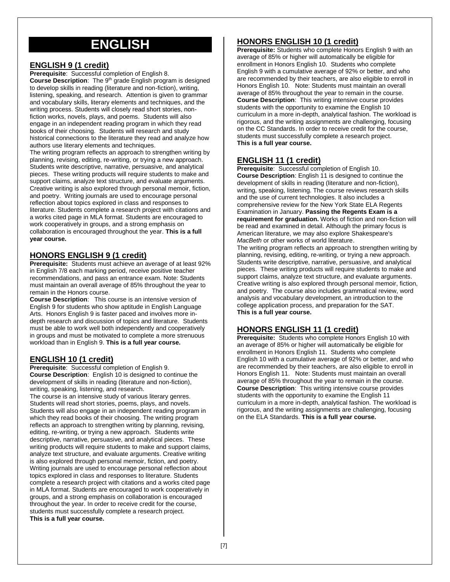# **ENGLISH**

#### **ENGLISH 9 (1 credit)**

**Prerequisite**: Successful completion of English 8. **Course Description**: The 9th grade English program is designed to develop skills in reading (literature and non-fiction), writing, listening, speaking, and research. Attention is given to grammar and vocabulary skills, literary elements and techniques, and the writing process. Students will closely read short stories, nonfiction works, novels, plays, and poems. Students will also engage in an independent reading program in which they read books of their choosing. Students will research and study historical connections to the literature they read and analyze how authors use literary elements and techniques.

The writing program reflects an approach to strengthen writing by planning, revising, editing, re-writing, or trying a new approach. Students write descriptive, narrative, persuasive, and analytical pieces. These writing products will require students to make and support claims, analyze text structure, and evaluate arguments. Creative writing is also explored through personal memoir, fiction, and poetry. Writing journals are used to encourage personal reflection about topics explored in class and responses to literature. Students complete a research project with citations and a works cited page in MLA format. Students are encouraged to work cooperatively in groups, and a strong emphasis on collaboration is encouraged throughout the year. **This is a full year course.**

#### **HONORS ENGLISH 9 (1 credit)**

**Prerequisite:** Students must achieve an average of at least 92% in English 7/8 each marking period, receive positive teacher recommendations, and pass an entrance exam. Note: Students must maintain an overall average of 85% throughout the year to remain in the Honors course.

**Course Description**: This course is an intensive version of English 9 for students who show aptitude in English Language Arts. Honors English 9 is faster paced and involves more indepth research and discussion of topics and literature. Students must be able to work well both independently and cooperatively in groups and must be motivated to complete a more strenuous workload than in English 9. **This is a full year course.**

#### **ENGLISH 10 (1 credit)**

**Prerequisite**: Successful completion of English 9. **Course Description**: English 10 is designed to continue the development of skills in reading (literature and non-fiction), writing, speaking, listening, and research.

The course is an intensive study of various literary genres. Students will read short stories, poems, plays, and novels. Students will also engage in an independent reading program in which they read books of their choosing. The writing program reflects an approach to strengthen writing by planning, revising, editing, re-writing, or trying a new approach. Students write descriptive, narrative, persuasive, and analytical pieces. These writing products will require students to make and support claims, analyze text structure, and evaluate arguments. Creative writing is also explored through personal memoir, fiction, and poetry. Writing journals are used to encourage personal reflection about topics explored in class and responses to literature. Students complete a research project with citations and a works cited page in MLA format. Students are encouraged to work cooperatively in groups, and a strong emphasis on collaboration is encouraged throughout the year. In order to receive credit for the course, students must successfully complete a research project. **This is a full year course.**

#### **HONORS ENGLISH 10 (1 credit)**

**Prerequisite:** Students who complete Honors English 9 with an average of 85% or higher will automatically be eligible for enrollment in Honors English 10. Students who complete English 9 with a cumulative average of 92% or better, and who are recommended by their teachers, are also eligible to enroll in Honors English 10. Note: Students must maintain an overall average of 85% throughout the year to remain in the course. **Course Description**: This writing intensive course provides students with the opportunity to examine the English 10 curriculum in a more in-depth, analytical fashion. The workload is rigorous, and the writing assignments are challenging, focusing on the CC Standards. In order to receive credit for the course, students must successfully complete a research project. **This is a full year course.**

#### **ENGLISH 11 (1 credit)**

**Prerequisite**: Successful completion of English 10. **Course Description**: English 11 is designed to continue the development of skills in reading (literature and non-fiction), writing, speaking, listening. The course reviews research skills and the use of current technologies. It also includes a comprehensive review for the New York State ELA Regents Examination in January. **Passing the Regents Exam is a requirement for graduation.** Works of fiction and non-fiction will be read and examined in detail. Although the primary focus is American literature, we may also explore Shakespeare's *MacBeth* or other works of world literature.

The writing program reflects an approach to strengthen writing by planning, revising, editing, re-writing, or trying a new approach. Students write descriptive, narrative, persuasive, and analytical pieces. These writing products will require students to make and support claims, analyze text structure, and evaluate arguments. Creative writing is also explored through personal memoir, fiction, and poetry. The course also includes grammatical review, word analysis and vocabulary development, an introduction to the college application process, and preparation for the SAT. **This is a full year course.**

## **HONORS ENGLISH 11 (1 credit)**

**Prerequisite:** Students who complete Honors English 10 with an average of 85% or higher will automatically be eligible for enrollment in Honors English 11. Students who complete English 10 with a cumulative average of 92% or better, and who are recommended by their teachers, are also eligible to enroll in Honors English 11. Note: Students must maintain an overall average of 85% throughout the year to remain in the course. **Course Description**: This writing intensive course provides students with the opportunity to examine the English 11 curriculum in a more in-depth, analytical fashion. The workload is rigorous, and the writing assignments are challenging, focusing on the ELA Standards. **This is a full year course.**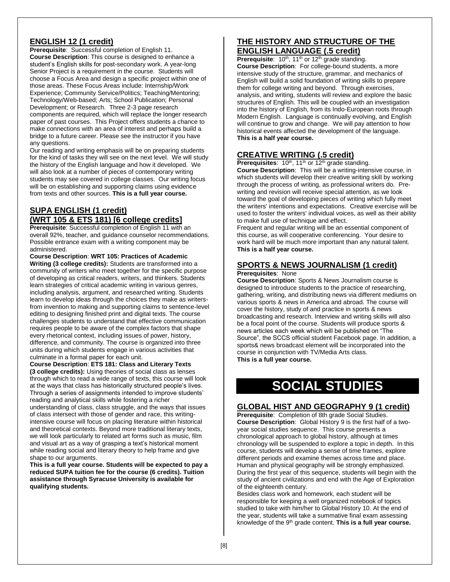#### **ENGLISH 12 (1 credit)**

**Prerequisite**: Successful completion of English 11. **Course Description**: This course is designed to enhance a student's English skills for post-secondary work. A year-long Senior Project is a requirement in the course. Students will choose a Focus Area and design a specific project within one of those areas. These Focus Areas include: Internship/Work Experience; Community Service/Politics; Teaching/Mentoring; Technology/Web-based; Arts; School Publication; Personal Development; or Research. Three 2-3 page research components are required, which will replace the longer research paper of past courses. This Project offers students a chance to make connections with an area of interest and perhaps build a bridge to a future career. Please see the instructor if you have any questions.

Our reading and writing emphasis will be on preparing students for the kind of tasks they will see on the next level. We will study the history of the English language and how it developed. We will also look at a number of pieces of contemporary writing students may see covered in college classes. Our writing focus will be on establishing and supporting claims using evidence from texts and other sources. **This is a full year course.**

#### **SUPA ENGLISH (1 credit) (WRT 105 & ETS 181) [6 college credits]**

**Prerequisite**: Successful completion of English 11 with an overall 92%, teacher, and guidance counselor recommendations. Possible entrance exam with a writing component may be administered.

**Course Description**: **WRT 105: Practices of Academic Writing (3 college credits):** Students are transformed into a community of writers who meet together for the specific purpose of developing as critical readers, writers, and thinkers. Students learn strategies of critical academic writing in various genres, including analysis, argument, and researched writing. Students learn to develop ideas through the choices they make as writersfrom invention to making and supporting claims to sentence-level editing to designing finished print and digital texts. The course challenges students to understand that effective communication requires people to be aware of the complex factors that shape every rhetorical context, including issues of power, history, difference, and community. The course is organized into three units during which students engage in various activities that culminate in a formal paper for each unit.

**Course Description**: **ETS 181: Class and Literary Texts (3 college credits):** Using theories of social class as lenses through which to read a wide range of texts, this course will look at the ways that class has historically structured people's lives. Through a series of assignments intended to improve students' reading and analytical skills while fostering a richer

understanding of class, class struggle, and the ways that issues of class intersect with those of gender and race, this writingintensive course will focus on placing literature within historical and theoretical contexts. Beyond more traditional literary texts, we will look particularly to related art forms such as music, film and visual art as a way of grasping a text's historical moment while reading social and literary theory to help frame and give shape to our arguments.

**This is a full year course. Students will be expected to pay a reduced SUPA tuition fee for the course (6 credits). Tuition assistance through Syracuse University is available for qualifying students.**

#### **THE HISTORY AND STRUCTURE OF THE ENGLISH LANGUAGE (.5 credit)**

**Prerequisite:** 10<sup>th</sup>, 11<sup>th</sup> or 12<sup>th</sup> grade standing. **Course Description**: For college-bound students, a more intensive study of the structure, grammar, and mechanics of English will build a solid foundation of writing skills to prepare them for college writing and beyond. Through exercises, analysis, and writing, students will review and explore the basic structures of English. This will be coupled with an investigation into the history of English, from its Indo-European roots through Modern English. Language is continually evolving, and English will continue to grow and change. We will pay attention to how historical events affected the development of the language. **This is a half year course.**

#### **CREATIVE WRITING (.5 credit)**

**Prerequisites**: 10<sup>th</sup>, 11<sup>th</sup> or 12<sup>th</sup> grade standing.

**Course Description**: This will be a writing-intensive course, in which students will develop their creative writing skill by working through the process of writing, as professional writers do. Prewriting and revision will receive special attention, as we look toward the goal of developing pieces of writing which fully meet the writers' intentions and expectations. Creative exercise will be used to foster the writers' individual voices, as well as their ability to make full use of technique and effect.

Frequent and regular writing will be an essential component of this course, as will cooperative conferencing. Your desire to work hard will be much more important than any natural talent. **This is a half year course.**

## **SPORTS & NEWS JOURNALISM (1 credit)**

#### **Prerequisites**: None

**Course Description**: Sports & News Journalism course is designed to introduce students to the practice of researching, gathering, writing, and distributing news via different mediums on various sports & news in America and abroad. The course will cover the history, study of and practice in sports & news broadcasting and research. Interview and writing skills will also be a focal point of the course. Students will produce sports & news articles each week which will be published on "The Source", the SCCS official student Facebook page. In addition, a sports& news broadcast element will be incorporated into the course in conjunction with TV/Media Arts class. **This is a full year course.**

**SOCIAL STUDIES**

#### **GLOBAL HIST AND GEOGRAPHY 9 (1 credit)**

**Prerequisite**: Completion of 8th grade Social Studies. **Course Description**: Global History 9 is the first half of a twoyear social studies sequence. This course presents a chronological approach to global history, although at times chronology will be suspended to explore a topic in depth. In this course, students will develop a sense of time frames, explore different periods and examine themes across time and place. Human and physical geography will be strongly emphasized. During the first year of this sequence, students will begin with the study of ancient civilizations and end with the Age of Exploration of the eighteenth century.

Besides class work and homework, each student will be responsible for keeping a well organized notebook of topics studied to take with him/her to Global History 10. At the end of the year, students will take a summative final exam assessing knowledge of the 9th grade content. **This is a full year course.**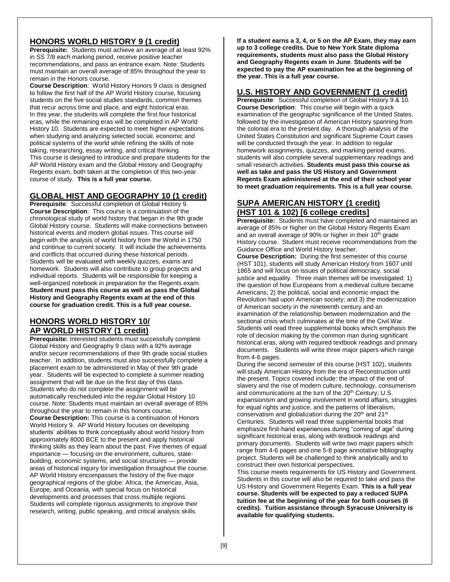#### **HONORS WORLD HISTORY 9 (1 credit)**

**Prerequisite:** Students must achieve an average of at least 92% in SS 7/8 each marking period, receive positive teacher recommendations, and pass an entrance exam. Note: Students must maintain an overall average of 85% throughout the year to remain in the Honors course.

**Course Description**: World History Honors 9 class is designed to follow the first half of the AP World History course, focusing students on the five social studies standards, common themes that recur across time and place, and eight historical eras. In this year, the students will complete the first four historical eras, while the remaining eras will be completed in AP World History 10. Students are expected to meet higher expectations when studying and analyzing selected social, economic and political systems of the world while refining the skills of note taking, researching, essay writing, and critical thinking. This course is designed to introduce and prepare students for the AP World History exam and the Global History and Geography Regents exam, both taken at the completion of this two-year course of study. **This is a full year course.**

#### **GLOBAL HIST AND GEOGRAPHY 10 (1 credit)**

**Prerequisite**: Successful completion of Global History 9. **Course Description**: This course is a continuation of the chronological study of world history that began in the 9th grade Global History course. Students will make connections between historical events and modern global issues. This course will begin with the analysis of world history from the World in 1750 and continue to current society. It will include the achievements and conflicts that occurred during these historical periods. Students will be evaluated with weekly quizzes, exams and homework. Students will also contribute to group projects and individual reports. Students will be responsible for keeping a well-organized notebook in preparation for the Regents exam. **Student must pass this course as well as pass the Global History and Geography Regents exam at the end of this course for graduation credit. This is a full year course.**

#### **HONORS WORLD HISTORY 10/ AP WORLD HISTORY (1 credit)**

**Prerequisite:** Interested students must successfully complete Global History and Geography 9 class with a 92% average and/or secure recommendations of their 9th grade social studies teacher. In addition, students must also successfully complete a placement exam to be administered in May of their 9th grade year. Students will be expected to complete a summer reading assignment that will be due on the first day of this class. Students who do not complete the assignment will be automatically rescheduled into the regular Global History 10 course. Note: Students must maintain an overall average of 85% throughout the year to remain in this honors course. **Course Description:** This course is a continuation of Honors World History 9. AP World History focuses on developing students' abilities to think conceptually about world history from approximately 8000 BCE to the present and apply historical thinking skills as they learn about the past. Five themes of equal importance — focusing on the environment, cultures, statebuilding, economic systems, and social structures — provide areas of historical inquiry for investigation throughout the course. AP World History encompasses the history of the five major geographical regions of the globe: Africa, the Americas, Asia, Europe, and Oceania, with special focus on historical developments and processes that cross multiple regions. Students will complete rigorous assignments to improve their research, writing, public speaking, and critical analysis skills.

**If a student earns a 3, 4, or 5 on the AP Exam, they may earn up to 3 college credits. Due to New York State diploma requirements, students must also pass the Global History and Geography Regents exam in June**. **Students will be expected to pay the AP examination fee at the beginning of the year. This is a full year course.**

#### **U.S. HISTORY AND GOVERNMENT (1 credit)**

**Prerequisite**: Successful completion of Global History 9 & 10. **Course Description**: This course will begin with a quick examination of the geographic significance of the United States, followed by the investigation of American History spanning from the colonial era to the present day. A thorough analysis of the United States Constitution and significant Supreme Court cases will be conducted through the year. In addition to regular homework assignments, quizzes, and marking period exams, students will also complete several supplementary readings and small research activities. **Students must pass this course as well as take and pass the US History and Government Regents Exam administered at the end of their school year to meet graduation requirements. This is a full year course.**

#### **SUPA AMERICAN HISTORY (1 credit) (HST 101 & 102) [6 college credits]**

**Prerequisite:** Students must have completed and maintained an average of 85% or higher on the Global History Regents Exam and an overall average of 90% or higher in their  $10<sup>th</sup>$  grade History course. Student must receive recommendations from the Guidance Office and World History teacher.

**Course Description:** During the first semester of this course (HST 101), students will study American History from 1607 until 1865 and will focus on issues of political democracy, social justice and equality. Three main themes will be investigated: 1) the question of how Europeans from a medieval culture became Americans; 2) the political, social and economic impact the Revolution had upon American society; and 3) the modernization of American society in the nineteenth century and an examination of the relationship between modernization and the sectional crisis which culminates at the time of the Civil War. Students will read three supplemental books which emphasis the role of decision making by the common man during significant historical eras, along with required textbook readings and primary documents. Students will write three major papers which range from 4-6 pages.

During the second semester of this course (HST 102), students will study American History from the era of Reconstruction until the present. Topics covered include: the impact of the end of slavery and the rise of modern culture, technology, consumerism and communications at the turn of the 20<sup>th</sup> Century; U.S. expansionism and growing involvement in world affairs, struggles for equal rights and justice, and the patterns of liberalism, conservatism and globalization during the  $20<sup>th</sup>$  and  $21<sup>st</sup>$ Centuries. Students will read three supplemental books that emphasize first-hand experiences during "coming of age" during significant historical eras, along with textbook readings and primary documents. Students will write two major papers which range from 4-6 pages and one 5-8 page annotative bibliography project. Students will be challenged to think analytically and to construct their own historical perspectives.

This course meets requirements for US History and Government. Students in this course will also be required to take and pass the US History and Government Regents Exam. **This is a full year course. Students will be expected to pay a reduced SUPA tuition fee at the beginning of the year for both courses (6 credits). Tuition assistance through Syracuse University is available for qualifying students.**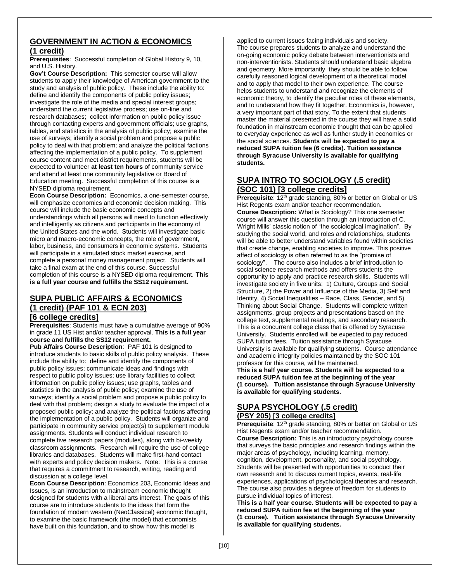#### **GOVERNMENT IN ACTION & ECONOMICS (1 credit)**

**Prerequisites**: Successful completion of Global History 9, 10, and U.S. History.

**Gov't Course Description:** This semester course will allow students to apply their knowledge of American government to the study and analysis of public policy. These include the ability to: define and identify the components of public policy issues; investigate the role of the media and special interest groups; understand the current legislative process; use on-line and research databases; collect information on public policy issue through contacting experts and government officials; use graphs, tables, and statistics in the analysis of public policy; examine the use of surveys; identify a social problem and propose a public policy to deal with that problem; and analyze the political factions affecting the implementation of a public policy. To supplement course content and meet district requirements, students will be expected to volunteer **at least ten hours** of community service and attend at least one community legislative or Board of Education meeting. Successful completion of this course is a NYSED diploma requirement.

**Econ Course Description:** Economics, a one-semester course, will emphasize economics and economic decision making. This course will include the basic economic concepts and understandings which all persons will need to function effectively and intelligently as citizens and participants in the economy of the United States and the world. Students will investigate basic micro and macro-economic concepts, the role of government, labor, business, and consumers in economic systems. Students will participate in a simulated stock market exercise, and complete a personal money management project. Students will take a final exam at the end of this course. Successful completion of this course is a NYSED diploma requirement. **This is a full year course and fulfills the SS12 requirement.** 

## **SUPA PUBLIC AFFAIRS & ECONOMICS (1 credit) (PAF 101 & ECN 203)**

#### **[6 college credits]**

**Prerequisites**: Students must have a cumulative average of 90% in grade 11 US Hist and/or teacher approval. **This is a full year course and fulfills the SS12 requirement.** 

**Pub Affairs Course Description**: PAF 101 is designed to introduce students to basic skills of public policy analysis. These include the ability to: define and identify the components of public policy issues; communicate ideas and findings with respect to public policy issues; use library facilities to collect information on public policy issues; use graphs, tables and statistics in the analysis of public policy; examine the use of surveys; identify a social problem and propose a public policy to deal with that problem; design a study to evaluate the impact of a proposed public policy; and analyze the political factions affecting the implementation of a public policy. Students will organize and participate in community service project(s) to supplement module assignments. Students will conduct individual research to complete five research papers (modules), along with bi-weekly classroom assignments. Research will require the use of college libraries and databases. Students will make first-hand contact with experts and policy decision makers. Note: This is a course that requires a commitment to research, writing, reading and discussion at a college level.

**Econ Course Description**: Economics 203, Economic Ideas and Issues, is an introduction to mainstream economic thought designed for students with a liberal arts interest. The goals of this course are to introduce students to the ideas that form the foundation of modern western (NeoClassical) economic thought, to examine the basic framework (the model) that economists have built on this foundation, and to show how this model is

applied to current issues facing individuals and society. The course prepares students to analyze and understand the on-going economic policy debate between interventionists and non-interventionists. Students should understand basic algebra and geometry. More importantly, they should be able to follow carefully reasoned logical development of a theoretical model and to apply that model to their own experience. The course helps students to understand and recognize the elements of economic theory, to identify the peculiar roles of these elements, and to understand how they fit together. Economics is, however, a very important part of that story. To the extent that students master the material presented in the course they will have a solid foundation in mainstream economic thought that can be applied to everyday experience as well as further study in economics or the social sciences. **Students will be expected to pay a reduced SUPA tuition fee (6 credits). Tuition assistance through Syracuse University is available for qualifying students.**

#### **SUPA INTRO TO SOCIOLOGY (.5 credit) (SOC 101) [3 college credits]**

**Prerequisite**: 12<sup>th</sup> grade standing, 80% or better on Global or US Hist Regents exam and/or teacher recommendation. **Course Description:** What is Sociology? This one semester course will answer this question through an introduction of C. Wright Mills' classic notion of "the sociological imagination". By studying the social world, and roles and relationships, students will be able to better understand variables found within societies that create change, enabling societies to improve. This positive affect of sociology is often referred to as the "promise of sociology". The course also includes a brief introduction to social science research methods and offers students the opportunity to apply and practice research skills. Students will investigate society in five units: 1) Culture, Groups and Social Structure, 2) the Power and Influence of the Media, 3) Self and Identity, 4) Social Inequalities – Race, Class, Gender, and 5) Thinking about Social Change. Students will complete written assignments, group projects and presentations based on the college text, supplemental readings, and secondary research. This is a concurrent college class that is offered by Syracuse University. Students enrolled will be expected to pay reduced SUPA tuition fees. Tuition assistance through Syracuse University is available for qualifying students. Course attendance and academic integrity policies maintained by the SOC 101 professor for this course, will be maintained. **This is a half year course. Students will be expected to a** 

**reduced SUPA tuition fee at the beginning of the year (1 course). Tuition assistance through Syracuse University is available for qualifying students.**

#### **SUPA PSYCHOLOGY (.5 credit) (PSY 205) [3 college credits]**

**Prerequisite**: 12<sup>th</sup> grade standing, 80% or better on Global or US Hist Regents exam and/or teacher recommendation. **Course Description:** This is an introductory psychology course that surveys the basic principles and research findings within the major areas of psychology, including learning, memory, cognition, development, personality, and social psychology. Students will be presented with opportunities to conduct their own research and to discuss current topics, events, real-life experiences, applications of psychological theories and research. The course also provides a degree of freedom for students to pursue individual topics of interest.

**This is a half year course. Students will be expected to pay a reduced SUPA tuition fee at the beginning of the year (1 course). Tuition assistance through Syracuse University is available for qualifying students.**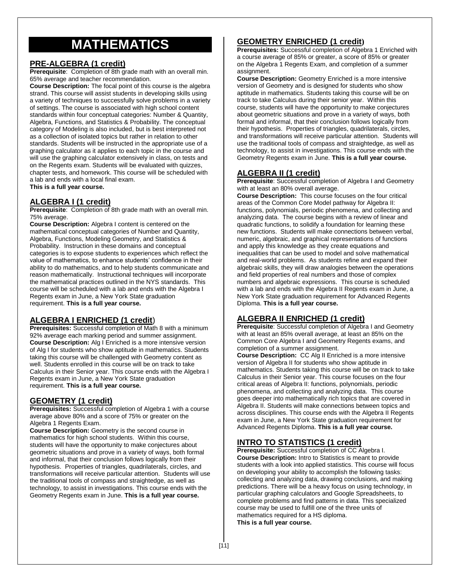# **MATHEMATICS**

#### **PRE-ALGEBRA (1 credit)**

**Prerequisite**: Completion of 8th grade math with an overall min. 65% average and teacher recommendation.

**Course Description:** The focal point of this course is the algebra strand. This course will assist students in developing skills using a variety of techniques to successfully solve problems in a variety of settings. The course is associated with high school content standards within four conceptual categories: Number & Quantity, Algebra, Functions, and Statistics & Probability. The conceptual category of Modeling is also included, but is best interpreted not as a collection of isolated topics but rather in relation to other standards. Students will be instructed in the appropriate use of a graphing calculator as it applies to each topic in the course and will use the graphing calculator extensively in class, on tests and on the Regents exam. Students will be evaluated with quizzes, chapter tests, and homework. This course will be scheduled with a lab and ends with a local final exam. **This is a full year course.**

#### **ALGEBRA I (1 credit)**

**Prerequisite**: Completion of 8th grade math with an overall min. 75% average.

**Course Description:** Algebra I content is centered on the mathematical conceptual categories of Number and Quantity, Algebra, Functions, Modeling Geometry, and Statistics & Probability. Instruction in these domains and conceptual categories is to expose students to experiences which reflect the value of mathematics, to enhance students' confidence in their ability to do mathematics, and to help students communicate and reason mathematically. Instructional techniques will incorporate the mathematical practices outlined in the NYS standards. This course will be scheduled with a lab and ends with the Algebra I Regents exam in June, a New York State graduation requirement. **This is a full year course.**

#### **ALGEBRA I ENRICHED (1 credit**)

**Prerequisites:** Successful completion of Math 8 with a minimum 92% average each marking period and summer assignment. **Course Description:** Alg I Enriched is a more intensive version of Alg I for students who show aptitude in mathematics. Students taking this course will be challenged with Geometry content as well. Students enrolled in this course will be on track to take Calculus in their Senior year. This course ends with the Algebra I Regents exam in June, a New York State graduation requirement. **This is a full year course.**

#### **GEOMETRY (1 credit)**

**Prerequisites:** Successful completion of Algebra 1 with a course average above 80% and a score of 75% or greater on the Algebra 1 Regents Exam.

**Course Description:** Geometry is the second course in mathematics for high school students. Within this course, students will have the opportunity to make conjectures about geometric situations and prove in a variety of ways, both formal and informal, that their conclusion follows logically from their hypothesis. Properties of triangles, quadrilaterals, circles, and transformations will receive particular attention. Students will use the traditional tools of compass and straightedge, as well as technology, to assist in investigations. This course ends with the Geometry Regents exam in June. **This is a full year course.**

#### **GEOMETRY ENRICHED (1 credit)**

**Prerequisites:** Successful completion of Algebra 1 Enriched with a course average of 85% or greater, a score of 85% or greater on the Algebra 1 Regents Exam, and completion of a summer assignment.

**Course Description:** Geometry Enriched is a more intensive version of Geometry and is designed for students who show aptitude in mathematics. Students taking this course will be on track to take Calculus during their senior year. Within this course, students will have the opportunity to make conjectures about geometric situations and prove in a variety of ways, both formal and informal, that their conclusion follows logically from their hypothesis. Properties of triangles, quadrilaterals, circles, and transformations will receive particular attention. Students will use the traditional tools of compass and straightedge, as well as technology, to assist in investigations. This course ends with the Geometry Regents exam in June. **This is a full year course.**

#### **ALGEBRA II (1 credit)**

**Prerequisite**: Successful completion of Algebra I and Geometry with at least an 80% overall average.

**Course Description:** This course focuses on the four critical areas of the Common Core Model pathway for Algebra II: functions, polynomials, periodic phenomena, and collecting and analyzing data. The course begins with a review of linear and quadratic functions, to solidify a foundation for learning these new functions. Students will make connections between verbal, numeric, algebraic, and graphical representations of functions and apply this knowledge as they create equations and inequalities that can be used to model and solve mathematical and real-world problems. As students refine and expand their algebraic skills, they will draw analogies between the operations and field properties of real numbers and those of complex numbers and algebraic expressions. This course is scheduled with a lab and ends with the Algebra II Regents exam in June, a New York State graduation requirement for Advanced Regents Diploma. **This is a full year course.**

## **ALGEBRA II ENRICHED (1 credit)**

**Prerequisite**: Successful completion of Algebra I and Geometry with at least an 85% overall average, at least an 85% on the Common Core Algebra I and Geometry Regents exams, and completion of a summer assignment.

**Course Description:** CC Alg II Enriched is a more intensive version of Algebra II for students who show aptitude in mathematics. Students taking this course will be on track to take Calculus in their Senior year. This course focuses on the four critical areas of Algebra II: functions, polynomials, periodic phenomena, and collecting and analyzing data. This course goes deeper into mathematically rich topics that are covered in Algebra II. Students will make connections between topics and across disciplines. This course ends with the Algebra II Regents exam in June, a New York State graduation requirement for Advanced Regents Diploma. **This is a full year course.**

## **INTRO TO STATISTICS (1 credit)**

**Prerequisite:** Successful completion of CC Algebra I. **Course Description:** Intro to Statistics is meant to provide students with a look into applied statistics. This course will focus on developing your ability to accomplish the following tasks: collecting and analyzing data, drawing conclusions, and making predictions. There will be a heavy focus on using technology, in particular graphing calculators and Google Spreadsheets, to complete problems and find patterns in data. This specialized course may be used to fulfill one of the three units of mathematics required for a HS diploma. **This is a full year course.**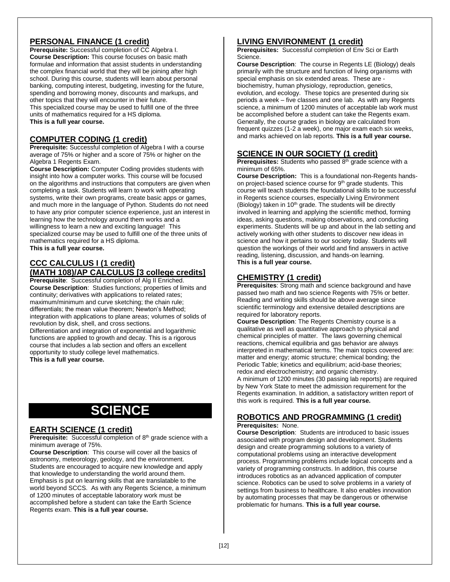## **PERSONAL FINANCE (1 credit)**

**Prerequisite:** Successful completion of CC Algebra I. **Course Description:** This course focuses on basic math formulae and information that assist students in understanding the complex financial world that they will be joining after high school. During this course, students will learn about personal banking, computing interest, budgeting, investing for the future, spending and borrowing money, discounts and markups, and other topics that they will encounter in their future. This specialized course may be used to fulfill one of the three units of mathematics required for a HS diploma.

**This is a full year course.**

#### **COMPUTER CODING (1 credit)**

**Prerequisite:** Successful completion of Algebra I with a course average of 75% or higher and a score of 75% or higher on the Algebra 1 Regents Exam.

**Course Description:** Computer Coding provides students with insight into how a computer works. This course will be focused on the algorithms and instructions that computers are given when completing a task. Students will learn to work with operating systems, write their own programs, create basic apps or games, and much more in the language of Python. Students do not need to have any prior computer science experience, just an interest in learning how the technology around them works and a willingness to learn a new and exciting language! This specialized course may be used to fulfill one of the three units of mathematics required for a HS diploma. **This is a full year course.**

#### **CCC CALCULUS I (1 credit) (MATH 108)/AP CALCULUS [3 college credits]**

**Prerequisite**: Successful completion of Alg II Enriched. **Course Description**: Studies functions; properties of limits and continuity; derivatives with applications to related rates; maximum/minimum and curve sketching; the chain rule; differentials; the mean value theorem; Newton's Method; integration with applications to plane areas; volumes of solids of revolution by disk, shell, and cross sections. Differentiation and integration of exponential and logarithmic

functions are applied to growth and decay. This is a rigorous course that includes a lab section and offers an excellent opportunity to study college level mathematics. **This is a full year course.**

# **SCIENCE**

#### **EARTH SCIENCE (1 credit)**

Prerequisite: Successful completion of 8<sup>th</sup> grade science with a minimum average of 75%.

**Course Description**: This course will cover all the basics of astronomy, meteorology, geology, and the environment. Students are encouraged to acquire new knowledge and apply that knowledge to understanding the world around them. Emphasis is put on learning skills that are translatable to the world beyond SCCS. As with any Regents Science, a minimum of 1200 minutes of acceptable laboratory work must be accomplished before a student can take the Earth Science Regents exam. **This is a full year course.**

#### **LIVING ENVIRONMENT (1 credit)**

**Prerequisites:** Successful completion of Env Sci or Earth Science.

**Course Description**: The course in Regents LE (Biology) deals primarily with the structure and function of living organisms with special emphasis on six extended areas. These are biochemistry, human physiology, reproduction, genetics, evolution, and ecology. These topics are presented during six periods a week – five classes and one lab. As with any Regents science, a minimum of 1200 minutes of acceptable lab work must be accomplished before a student can take the Regents exam. Generally, the course grades in biology are calculated from frequent quizzes (1-2 a week), one major exam each six weeks, and marks achieved on lab reports. **This is a full year course.**

#### **SCIENCE IN OUR SOCIETY (1 credit)**

**Prerequisites:** Students who passed 8<sup>th</sup> grade science with a minimum of 65%.

**Course Description:** This is a foundational non-Regents handson project-based science course for 9<sup>th</sup> grade students. This course will teach students the foundational skills to be successful in Regents science courses, especially Living Environment (Biology) taken in 10<sup>th</sup> grade. The students will be directly involved in learning and applying the scientific method, forming ideas, asking questions, making observations, and conducting experiments. Students will be up and about in the lab setting and actively working with other students to discover new ideas in science and how it pertains to our society today. Students will question the workings of their world and find answers in active reading, listening, discussion, and hands-on learning. **This is a full year course.**

#### **CHEMISTRY (1 credit)**

**Prerequisites:** Strong math and science background and have passed two math and two science Regents with 75% or better. Reading and writing skills should be above average since scientific terminology and extensive detailed descriptions are required for laboratory reports.

**Course Description**: The Regents Chemistry course is a qualitative as well as quantitative approach to physical and chemical principles of matter. The laws governing chemical reactions, chemical equilibria and gas behavior are always interpreted in mathematical terms. The main topics covered are: matter and energy; atomic structure; chemical bonding; the Periodic Table; kinetics and equilibrium; acid-base theories; redox and electrochemistry; and organic chemistry. A minimum of 1200 minutes (30 passing lab reports) are required by New York State to meet the admission requirement for the Regents examination. In addition, a satisfactory written report of this work is required. **This is a full year course.**

#### **ROBOTICS AND PROGRAMMING (1 credit) Prerequisites:** None.

**Course Description**: Students are introduced to basic issues associated with program design and development. Students design and create programming solutions to a variety of computational problems using an interactive development process. Programming problems include logical concepts and a variety of programming constructs. In addition, this course introduces robotics as an advanced application of computer science. Robotics can be used to solve problems in a variety of settings from business to healthcare. It also enables innovation by automating processes that may be dangerous or otherwise problematic for humans. **This is a full year course.**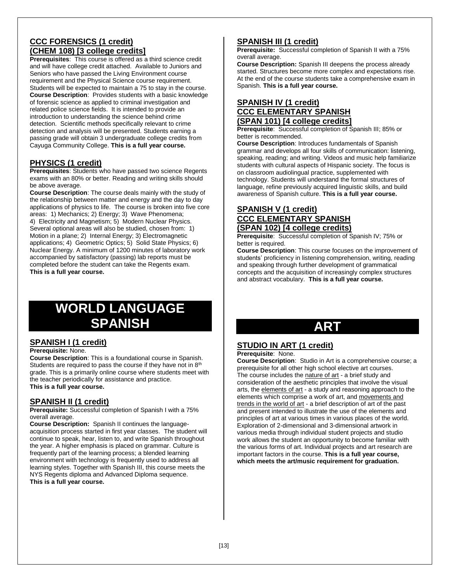## **CCC FORENSICS (1 credit) (CHEM 108) [3 college credits]**

**Prerequisites**: This course is offered as a third science credit and will have college credit attached. Available to Juniors and Seniors who have passed the Living Environment course requirement and the Physical Science course requirement. Students will be expected to maintain a 75 to stay in the course. **Course Description**: Provides students with a basic knowledge of forensic science as applied to criminal investigation and related police science fields. It is intended to provide an introduction to understanding the science behind crime detection. Scientific methods specifically relevant to crime detection and analysis will be presented. Students earning a passing grade will obtain 3 undergraduate college credits from Cayuga Community College. **This is a full year course.**

#### **PHYSICS (1 credit)**

**Prerequisites**: Students who have passed two science Regents exams with an 80% or better. Reading and writing skills should be above average.

**Course Description**: The course deals mainly with the study of the relationship between matter and energy and the day to day applications of physics to life. The course is broken into five core areas: 1) Mechanics; 2) Energy; 3) Wave Phenomena; 4) Electricity and Magnetism; 5) Modern Nuclear Physics. Several optional areas will also be studied, chosen from: 1) Motion in a plane; 2) Internal Energy; 3) Electromagnetic applications; 4) Geometric Optics; 5) Solid State Physics; 6) Nuclear Energy. A minimum of 1200 minutes of laboratory work accompanied by satisfactory (passing) lab reports must be completed before the student can take the Regents exam. **This is a full year course.**

# **WORLD LANGUAGE SPANISH**

#### **SPANISH I (1 credit)**

#### **Prerequisite:** None.

**Course Description**: This is a foundational course in Spanish. Students are required to pass the course if they have not in  $8<sup>th</sup>$ grade. This is a primarily online course where students meet with the teacher periodically for assistance and practice. **This is a full year course.**

#### **SPANISH II (1 credit)**

**Prerequisite:** Successful completion of Spanish I with a 75% overall average.

**Course Description:** Spanish II continues the languageacquisition process started in first year classes. The student will continue to speak, hear, listen to, and write Spanish throughout the year. A higher emphasis is placed on grammar. Culture is frequently part of the learning process; a blended learning environment with technology is frequently used to address all learning styles. Together with Spanish III, this course meets the NYS Regents diploma and Advanced Diploma sequence. **This is a full year course.**

## **SPANISH III (1 credit)**

**Prerequisite:** Successful completion of Spanish II with a 75% overall average.

**Course Description:** Spanish III deepens the process already started. Structures become more complex and expectations rise. At the end of the course students take a comprehensive exam in Spanish. **This is a full year course.**

#### **SPANISH IV (1 credit) CCC ELEMENTARY SPANISH (SPAN 101) [4 college credits]**

**Prerequisite**: Successful completion of Spanish III; 85% or better is recommended.

**Course Description**: Introduces fundamentals of Spanish grammar and develops all four skills of communication: listening, speaking, reading; and writing. Videos and music help familiarize students with cultural aspects of Hispanic society. The focus is on classroom audiolingual practice, supplemented with technology. Students will understand the formal structures of language, refine previously acquired linguistic skills, and build awareness of Spanish culture. **This is a full year course.**

#### **SPANISH V (1 credit) CCC ELEMENTARY SPANISH (SPAN 102) [4 college credits)**

**Prerequisite**: Successful completion of Spanish IV; 75% or better is required.

**Course Description**: This course focuses on the improvement of students' proficiency in listening comprehension, writing, reading and speaking through further development of grammatical concepts and the acquisition of increasingly complex structures and abstract vocabulary. **This is a full year course.**

# **ART**

## **STUDIO IN ART (1 credit)**

**Prerequisite**: None.

**Course Description**: Studio in Art is a comprehensive course; a prerequisite for all other high school elective art courses. The course includes the nature of art - a brief study and consideration of the aesthetic principles that involve the visual arts, the elements of art - a study and reasoning approach to the elements which comprise a work of art, and movements and trends in the world of art - a brief description of art of the past and present intended to illustrate the use of the elements and principles of art at various times in various places of the world. Exploration of 2-dimensional and 3-dimensional artwork in various media through individual student projects and studio work allows the student an opportunity to become familiar with the various forms of art. Individual projects and art research are important factors in the course. **This is a full year course, which meets the art/music requirement for graduation.**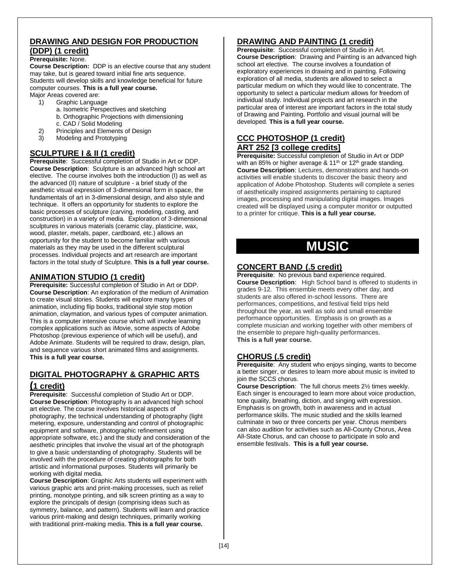#### **DRAWING AND DESIGN FOR PRODUCTION (DDP) (1 credit)**

#### **Prerequisite:** None.

**Course Description:** DDP is an elective course that any student may take, but is geared toward initial fine arts sequence. Students will develop skills and knowledge beneficial for future computer courses. **This is a full year course.**

Major Areas covered are:

- 1) Graphic Language
	- a. Isometric Perspectives and sketching
	- b. Orthographic Projections with dimensioning
	- c. CAD / Solid Modeling
- 2) Principles and Elements of Design
- 3) Modeling and Prototyping

## **SCULPTURE I & II (1 credit)**

**Prerequisite**: Successful completion of Studio in Art or DDP. **Course Description**: Sculpture is an advanced high school art elective. The course involves both the introduction (I) as well as the advanced (II) nature of sculpture - a brief study of the aesthetic visual expression of 3-dimensional form in space, the fundamentals of art in 3-dimensional design, and also style and technique. It offers an opportunity for students to explore the basic processes of sculpture (carving, modeling, casting, and construction) in a variety of media. Exploration of 3-dimensional sculptures in various materials (ceramic clay, plasticine, wax, wood, plaster, metals, paper, cardboard, etc.) allows an opportunity for the student to become familiar with various materials as they may be used in the different sculptural processes. Individual projects and art research are important factors in the total study of Sculpture. **This is a full year course.**

#### **ANIMATION STUDIO (1 credit)**

**Prerequisite:** Successful completion of Studio in Art or DDP. **Course Description**: An exploration of the medium of Animation to create visual stories. Students will explore many types of animation, including flip books, traditional style stop motion animation, claymation, and various types of computer animation. This is a computer intensive course which will involve learning complex applications such as iMovie, some aspects of Adobe Photoshop (previous experience of which will be useful), and Adobe Animate. Students will be required to draw, design, plan, and sequence various short animated films and assignments. **This is a full year course.**

## **DIGITAL PHOTOGRAPHY & GRAPHIC ARTS**

#### **(1 credit)**

**Prerequisite**: Successful completion of Studio Art or DDP. **Course Description: Photography is an advanced high school** art elective. The course involves historical aspects of photography, the technical understanding of photography (light metering, exposure, understanding and control of photographic equipment and software, photographic refinement using appropriate software, etc.) and the study and consideration of the aesthetic principles that involve the visual art of the photograph to give a basic understanding of photography. Students will be involved with the procedure of creating photographs for both artistic and informational purposes. Students will primarily be working with digital media.

**Course Description**: Graphic Arts students will experiment with various graphic arts and print-making processes, such as relief printing, monotype printing, and silk screen printing as a way to explore the principals of design (comprising ideas such as symmetry, balance, and pattern). Students will learn and practice various print-making and design techniques, primarily working with traditional print-making media. **This is a full year course.**

## **DRAWING AND PAINTING (1 credit)**

**Prerequisite**: Successful completion of Studio in Art. **Course Description**: Drawing and Painting is an advanced high school art elective. The course involves a foundation of exploratory experiences in drawing and in painting. Following exploration of all media, students are allowed to select a particular medium on which they would like to concentrate. The opportunity to select a particular medium allows for freedom of individual study. Individual projects and art research in the particular area of interest are important factors in the total study of Drawing and Painting. Portfolio and visual journal will be developed. **This is a full year course.**

#### **CCC PHOTOSHOP (1 credit) ART 252 [3 college credits]**

**Prerequisite:** Successful completion of Studio in Art or DDP with an 85% or higher average &  $11<sup>th</sup>$  or  $12<sup>th</sup>$  grade standing. **Course Description**: Lectures, demonstrations and hands-on activities will enable students to discover the basic theory and application of Adobe Photoshop. Students will complete a series of aesthetically inspired assignments pertaining to captured images, processing and manipulating digital images. Images created will be displayed using a computer monitor or outputted to a printer for critique. **This is a full year course.**

# **MUSIC**

## **CONCERT BAND (.5 credit)**

**Prerequisite**: No previous band experience required. **Course Description**: High School band is offered to students in grades 9-12. This ensemble meets every other day, and students are also offered in-school lessons. There are performances, competitions, and festival field trips held throughout the year, as well as solo and small ensemble performance opportunities. Emphasis is on growth as a complete musician and working together with other members of the ensemble to prepare high-quality performances. **This is a full year course.**

## **CHORUS (.5 credit)**

**Prerequisite**: Any student who enjoys singing, wants to become a better singer, or desires to learn more about music is invited to join the SCCS chorus.

**Course Description**: The full chorus meets 2½ times weekly. Each singer is encouraged to learn more about voice production, tone quality, breathing, diction, and singing with expression. Emphasis is on growth, both in awareness and in actual performance skills. The music studied and the skills learned culminate in two or three concerts per year. Chorus members can also audition for activities such as All-County Chorus, Area All-State Chorus, and can choose to participate in solo and ensemble festivals. **This is a full year course.**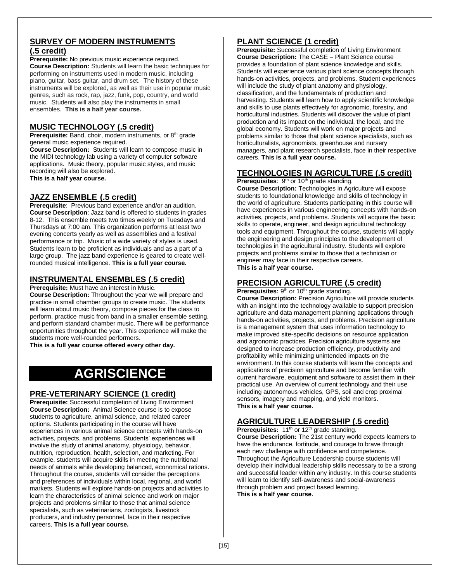#### **SURVEY OF MODERN INSTRUMENTS (.5 credit)**

**Prerequisite:** No previous music experience required. **Course Description:** Students will learn the basic techniques for performing on instruments used in modern music, including piano, guitar, bass guitar, and drum set. The history of these instruments will be explored, as well as their use in popular music genres, such as rock, rap, jazz, funk, pop, country, and world music. Students will also play the instruments in small ensembles. **This is a half year course.**

## **MUSIC TECHNOLOGY (.5 credit)**

**Prerequisite:** Band, choir, modern instruments, or 8<sup>th</sup> grade general music experience required.

**Course Description:** Students will learn to compose music in the MIDI technology lab using a variety of computer software applications. Music theory, popular music styles, and music recording will also be explored.

**This is a half year course.**

## **JAZZ ENSEMBLE (.5 credit)**

**Prerequisite**: Previous band experience and/or an audition. **Course Description**: Jazz band is offered to students in grades 8-12. This ensemble meets two times weekly on Tuesdays and Thursdays at 7:00 am. This organization performs at least two evening concerts yearly as well as assemblies and a festival performance or trip. Music of a wide variety of styles is used. Students learn to be proficient as individuals and as a part of a large group. The jazz band experience is geared to create wellrounded musical intelligence. **This is a full year course.**

#### **INSTRUMENTAL ENSEMBLES (.5 credit)**

**Prerequisite:** Must have an interest in Music.

**Course Description:** Throughout the year we will prepare and practice in small chamber groups to create music. The students will learn about music theory, compose pieces for the class to perform, practice music from band in a smaller ensemble setting, and perform standard chamber music. There will be performance opportunities throughout the year. This experience will make the students more well-rounded performers.

**This is a full year course offered every other day.** 

# **AGRISCIENCE**

#### **PRE-VETERINARY SCIENCE (1 credit)**

**Prerequisite:** Successful completion of Living Environment **Course Description:** Animal Science course is to expose students to agriculture, animal science, and related career options. Students participating in the course will have experiences in various animal science concepts with hands-on activities, projects, and problems. Students' experiences will involve the study of animal anatomy, physiology, behavior, nutrition, reproduction, health, selection, and marketing. For example, students will acquire skills in meeting the nutritional needs of animals while developing balanced, economical rations. Throughout the course, students will consider the perceptions and preferences of individuals within local, regional, and world markets. Students will explore hands-on projects and activities to learn the characteristics of animal science and work on major projects and problems similar to those that animal science specialists, such as veterinarians, zoologists, livestock producers, and industry personnel, face in their respective careers. **This is a full year course.**

## **PLANT SCIENCE (1 credit)**

**Prerequisite:** Successful completion of Living Environment **Course Description:** The CASE – Plant Science course provides a foundation of plant science knowledge and skills. Students will experience various plant science concepts through hands-on activities, projects, and problems. Student experiences will include the study of plant anatomy and physiology, classification, and the fundamentals of production and harvesting. Students will learn how to apply scientific knowledge and skills to use plants effectively for agronomic, forestry, and horticultural industries. Students will discover the value of plant production and its impact on the individual, the local, and the global economy. Students will work on major projects and problems similar to those that plant science specialists, such as horticulturalists, agronomists, greenhouse and nursery managers, and plant research specialists, face in their respective careers. **This is a full year course.**

#### **TECHNOLOGIES IN AGRICULTURE (.5 credit)**

**Prerequisites**: 9<sup>th</sup> or 10<sup>th</sup> grade standing.

**Course Description:** Technologies in Agriculture will expose students to foundational knowledge and skills of technology in the world of agriculture. Students participating in this course will have experiences in various engineering concepts with hands-on activities, projects, and problems. Students will acquire the basic skills to operate, engineer, and design agricultural technology tools and equipment. Throughout the course, students will apply the engineering and design principles to the development of technologies in the agricultural industry. Students will explore projects and problems similar to those that a technician or engineer may face in their respective careers. **This is a half year course.**

#### **PRECISION AGRICULTURE (.5 credit)**

Prerequisites: 9<sup>th</sup> or 10<sup>th</sup> grade standing.

**Course Description:** Precision Agriculture will provide students with an insight into the technology available to support precision agriculture and data management planning applications through hands-on activities, projects, and problems. Precision agriculture is a management system that uses information technology to make improved site-specific decisions on resource application and agronomic practices. Precision agriculture systems are designed to increase production efficiency, productivity and profitability while minimizing unintended impacts on the environment. In this course students will learn the concepts and applications of precision agriculture and become familiar with current hardware, equipment and software to assist them in their practical use. An overview of current technology and their use including autonomous vehicles, GPS, soil and crop proximal sensors, imagery and mapping, and yield monitors. **This is a half year course.**

#### **AGRICULTURE LEADERSHIP (.5 credit)**

Prerequisites: 11<sup>th</sup> or 12<sup>th</sup> grade standing. **Course Description:** The 21st century world expects learners to have the endurance, fortitude, and courage to brave through each new challenge with confidence and competence. Throughout the Agriculture Leadership course students will develop their individual leadership skills necessary to be a strong and successful leader within any industry. In this course students will learn to identify self-awareness and social-awareness through problem and project based learning. **This is a half year course.**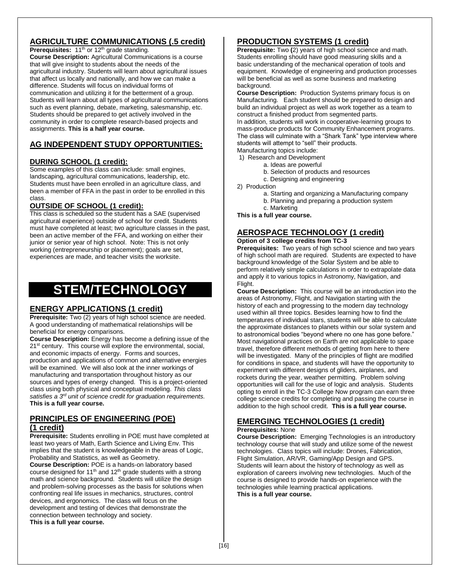## **AGRICULTURE COMMUNICATIONS (.5 credit)**

Prerequisites: 11<sup>th</sup> or 12<sup>th</sup> grade standing.

**Course Description:** Agricultural Communications is a course that will give insight to students about the needs of the agricultural industry. Students will learn about agricultural issues that affect us locally and nationally, and how we can make a difference. Students will focus on individual forms of communication and utilizing it for the betterment of a group. Students will learn about all types of agricultural communications such as event planning, debate, marketing, salesmanship, etc. Students should be prepared to get actively involved in the community in order to complete research-based projects and assignments. **This is a half year course.**

## **AG INDEPENDENT STUDY OPPORTUNITIES:**

## **DURING SCHOOL (1 credit):**

Some examples of this class can include: small engines, landscaping, agricultural communications, leadership, etc. Students must have been enrolled in an agriculture class, and been a member of FFA in the past in order to be enrolled in this class.

## **OUTSIDE OF SCHOOL (1 credit):**

This class is scheduled so the student has a SAE (supervised agricultural experience) outside of school for credit. Students must have completed at least; two agriculture classes in the past, been an active member of the FFA, and working on either their junior or senior year of high school. Note: This is not only working (entrepreneurship or placement); goals are set, experiences are made, and teacher visits the worksite.

# **STEM/TECHNOLOGY**

## **ENERGY APPLICATIONS (1 credit)**

**Prerequisite:** Two (2) years of high school science are needed. A good understanding of mathematical relationships will be beneficial for energy comparisons.

**Course Description:** Energy has become a defining issue of the 21<sup>st</sup> century. This course will explore the environmental, social, and economic impacts of energy. Forms and sources, production and applications of common and alternative energies will be examined. We will also look at the inner workings of manufacturing and transportation throughout history as our sources and types of energy changed. This is a project-oriented class using both physical and conceptual modeling. *This class satisfies a 3rd unit of science credit for graduation requirements.* **This is a full year course.**

## **PRINCIPLES OF ENGINEERING (POE) (1 credit)**

**Prerequisite:** Students enrolling in POE must have completed at least two years of Math, Earth Science and Living Env. This implies that the student is knowledgeable in the areas of Logic, Probability and Statistics, as well as Geometry.

**Course Description:** POE is a hands-on laboratory based course designed for 11<sup>th</sup> and 12<sup>th</sup> grade students with a strong math and science background. Students will utilize the design and problem-solving processes as the basis for solutions when confronting real life issues in mechanics, structures, control devices, and ergonomics. The class will focus on the development and testing of devices that demonstrate the connection between technology and society. **This is a full year course.**

## **PRODUCTION SYSTEMS (1 credit)**

**Prerequisite:** Two **(**2) years of high school science and math. Students enrolling should have good measuring skills and a basic understanding of the mechanical operation of tools and equipment. Knowledge of engineering and production processes will be beneficial as well as some business and marketing background.

**Course Description:** Production Systems primary focus is on Manufacturing. Each student should be prepared to design and build an individual project as well as work together as a team to construct a finished product from segmented parts. In addition, students will work in cooperative-learning groups to mass-produce products for Community Enhancement programs. The class will culminate with a "Shark Tank" type interview where students will attempt to "sell" their products.

- Manufacturing topics include:
- 1) Research and Development
	- a. Ideas are powerful
	- b. Selection of products and resources
	- c. Designing and engineering

2) Production

- a. Starting and organizing a Manufacturing company
- b. Planning and preparing a production system
- c. Marketing **This is a full year course.**

## **AEROSPACE TECHNOLOGY (1 credit)**

## **Option of 3 college credits from TC-3**

**Prerequisites:** Two years of high school science and two years of high school math are required. Students are expected to have background knowledge of the Solar System and be able to perform relatively simple calculations in order to extrapolate data and apply it to various topics in Astronomy, Navigation, and Flight.

**Course Description:** This course will be an introduction into the areas of Astronomy, Flight, and Navigation starting with the history of each and progressing to the modern day technology used within all three topics. Besides learning how to find the temperatures of individual stars, students will be able to calculate the approximate distances to planets within our solar system and to astronomical bodies "beyond where no one has gone before." Most navigational practices on Earth are not applicable to space travel, therefore different methods of getting from here to there will be investigated. Many of the principles of flight are modified for conditions in space, and students will have the opportunity to experiment with different designs of gliders, airplanes, and rockets during the year, weather permitting. Problem solving opportunities will call for the use of logic and analysis. Students opting to enroll in the TC-3 College Now program can earn three college science credits for completing and passing the course in addition to the high school credit. **This is a full year course.**

## **EMERGING TECHNOLOGIES (1 credit)**

#### **Prerequisites:** None

**Course Description:** Emerging Technologies is an introductory technology course that will study and utilize some of the newest technologies. Class topics will include: Drones, Fabrication, Flight Simulation, AR/VR, Gaming/App Design and GPS. Students will learn about the history of technology as well as exploration of careers involving new technologies. Much of the course is designed to provide hands-on experience with the technologies while learning practical applications. **This is a full year course.**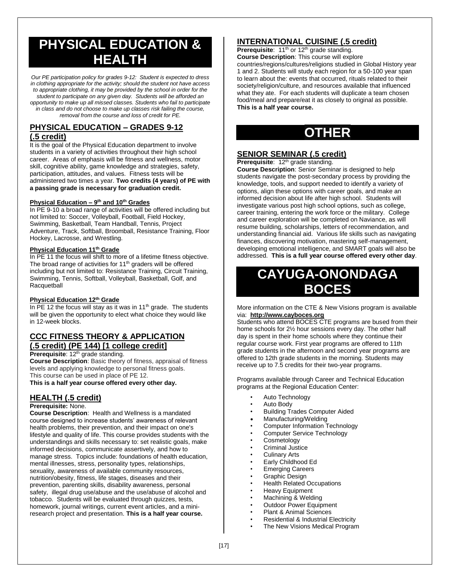# **PHYSICAL EDUCATION & HEALTH**

*Our PE participation policy for grades 9-12: Student is expected to dress in clothing appropriate for the activity; should the student not have access to appropriate clothing, it may be provided by the school in order for the student to participate on any given day. Students will be afforded an opportunity to make up all missed classes. Students who fail to participate in class and do not choose to make up classes risk failing the course, removal from the course and loss of credit for PE.*

## **PHYSICAL EDUCATION – GRADES 9-12 (.5 credit)**

It is the goal of the Physical Education department to involve students in a variety of activities throughout their high school career. Areas of emphasis will be fitness and wellness, motor skill, cognitive ability, game knowledge and strategies, safety, participation, attitudes, and values. Fitness tests will be administered two times a year. **Two credits (4 years) of PE with a passing grade is necessary for graduation credit.** 

#### **Physical Education – 9 th and 10th Grades**

In PE 9-10 a broad range of activities will be offered including but not limited to: Soccer, Volleyball, Football, Field Hockey, Swimming, Basketball, Team Handball, Tennis, Project Adventure, Track, Softball, Broomball, Resistance Training, Floor Hockey, Lacrosse, and Wrestling.

#### **Physical Education 11th Grade**

In PE 11 the focus will shift to more of a lifetime fitness objective. The broad range of activities for 11<sup>th</sup> graders will be offered including but not limited to: Resistance Training, Circuit Training, Swimming, Tennis, Softball, Volleyball, Basketball, Golf, and **Racquetball** 

#### **Physical Education 12th Grade**

In PE 12 the focus will stay as it was in 11<sup>th</sup> grade. The students will be given the opportunity to elect what choice they would like in 12-week blocks.

#### **CCC FITNESS THEORY & APPLICATION (.5 credit) (PE 144) [1 college credit]**

**Prerequisite:** 12<sup>th</sup> grade standing.

**Course Description**: Basic theory of fitness, appraisal of fitness levels and applying knowledge to personal fitness goals. This course can be used in place of PE 12.

**This is a half year course offered every other day.** 

#### **HEALTH (.5 credit)**

**Prerequisite:** None.

**Course Description**: Health and Wellness is a mandated course designed to increase students' awareness of relevant health problems, their prevention, and their impact on one's lifestyle and quality of life. This course provides students with the understandings and skills necessary to: set realistic goals, make informed decisions, communicate assertively, and how to manage stress. Topics include: foundations of health education, mental illnesses, stress, personality types, relationships, sexuality, awareness of available community resources, nutrition/obesity, fitness, life stages, diseases and their prevention, parenting skills, disability awareness, personal safety, illegal drug use/abuse and the use/abuse of alcohol and tobacco. Students will be evaluated through quizzes, tests, homework, journal writings, current event articles, and a miniresearch project and presentation. **This is a half year course.**

## **INTERNATIONAL CUISINE (.5 credit)**

Prerequisite: 11<sup>th</sup> or 12<sup>th</sup> grade standing.

**Course Description**: This course will explore

countries/regions/cultures/religions studied in Global History year 1 and 2. Students will study each region for a 50-100 year span to learn about the: events that occurred, rituals related to their society/religion/culture, and resources available that influenced what they ate. For each students will duplicate a team chosen food/meal and prepare/eat it as closely to original as possible. **This is a half year course.**

# **OTHER**

#### **SENIOR SEMINAR (.5 credit)**

**Prerequisite**: 12<sup>th</sup> grade standing. **Course Description**: Senior Seminar is designed to help students navigate the post-secondary process by providing the knowledge, tools, and support needed to identify a variety of options, align these options with career goals, and make an informed decision about life after high school. Students will investigate various post high school options, such as college, career training, entering the work force or the military. College and career exploration will be completed on Naviance, as will resume building, scholarships, letters of recommendation, and understanding financial aid. Various life skills such as navigating finances, discovering motivation, mastering self-management, developing emotional intelligence, and SMART goals will also be addressed. **This is a full year course offered every other day**.

# **CAYUGA-ONONDAGA BOCES**

More information on the CTE & New Visions program is available via: **http://www.cayboces.org**

Students who attend BOCES CTE programs are bused from their home schools for 2½ hour sessions every day. The other half day is spent in their home schools where they continue their regular course work. First year programs are offered to 11th grade students in the afternoon and second year programs are offered to 12th grade students in the morning. Students may receive up to 7.5 credits for their two-year programs.

Programs available through Career and Technical Education programs at the Regional Education Center:

- Auto Technology
- Auto Body
- Building Trades Computer Aided
- Manufacturing/Welding
- Computer Information Technology
- Computer Service Technology
- **Cosmetology**
- Criminal Justice
- Culinary Arts
- Early Childhood Ed
- Emerging Careers
- Graphic Design
- Health Related Occupations
- Heavy Equipment
- Machining & Welding
- Outdoor Power Equipment
- Plant & Animal Sciences
- Residential & Industrial Electricity
- The New Visions Medical Program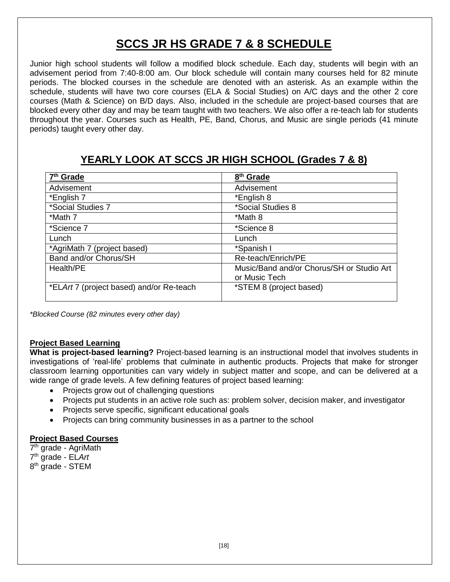# **SCCS JR HS GRADE 7 & 8 SCHEDULE**

Junior high school students will follow a modified block schedule. Each day, students will begin with an advisement period from 7:40-8:00 am. Our block schedule will contain many courses held for 82 minute periods. The blocked courses in the schedule are denoted with an asterisk. As an example within the schedule, students will have two core courses (ELA & Social Studies) on A/C days and the other 2 core courses (Math & Science) on B/D days. Also, included in the schedule are project-based courses that are blocked every other day and may be team taught with two teachers. We also offer a re-teach lab for students throughout the year. Courses such as Health, PE, Band, Chorus, and Music are single periods (41 minute periods) taught every other day.

## **YEARLY LOOK AT SCCS JR HIGH SCHOOL (Grades 7 & 8)**

| 7 <sup>th</sup> Grade                    | 8 <sup>th</sup> Grade                     |
|------------------------------------------|-------------------------------------------|
| Advisement                               | Advisement                                |
| *English 7                               | *English 8                                |
| *Social Studies 7                        | *Social Studies 8                         |
| *Math 7                                  | *Math 8                                   |
| *Science 7                               | *Science 8                                |
| Lunch                                    | Lunch                                     |
| *AgriMath 7 (project based)              | *Spanish I                                |
| Band and/or Chorus/SH                    | Re-teach/Enrich/PE                        |
| Health/PE                                | Music/Band and/or Chorus/SH or Studio Art |
|                                          | or Music Tech                             |
| *ELArt 7 (project based) and/or Re-teach | *STEM 8 (project based)                   |
|                                          |                                           |

*\*Blocked Course (82 minutes every other day)*

## **Project Based Learning**

**What is project-based learning?** Project-based learning is an instructional model that involves students in investigations of 'real-life' problems that culminate in authentic products. Projects that make for stronger classroom learning opportunities can vary widely in subject matter and scope, and can be delivered at a wide range of grade levels. A few defining features of project based learning:

- Projects grow out of challenging questions
- Projects put students in an active role such as: problem solver, decision maker, and investigator
- Projects serve specific, significant educational goals
- Projects can bring community businesses in as a partner to the school

## **Project Based Courses**

7<sup>th</sup> grade - AgriMath 7 th grade - EL*Art* 8<sup>th</sup> grade - STEM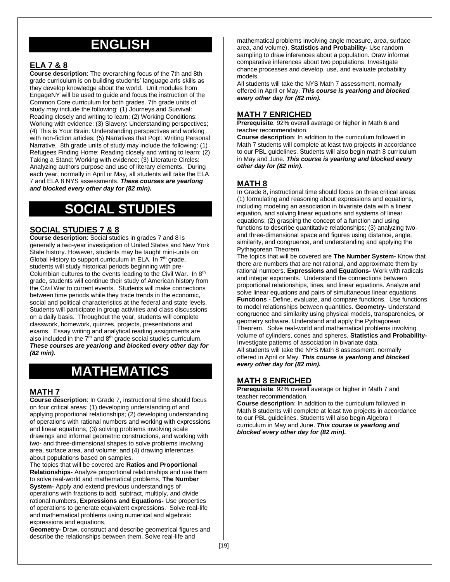# **ENGLISH**

#### **ELA 7 & 8**

**Course description**: The overarching focus of the 7th and 8th grade curriculum is on building students' language arts skills as they develop knowledge about the world. Unit modules from EngageNY will be used to guide and focus the instruction of the Common Core curriculum for both grades. 7th grade units of study may include the following: (1) Journeys and Survival: Reading closely and writing to learn; (2) Working Conditions: Working with evidence; (3) Slavery: Understanding perspectives; (4) This is Your Brain: Understanding perspectives and working with non-fiction articles; (5) Narratives that Pop!: Writing Personal Narrative. 8th grade units of study may include the following: (1) Refugees Finding Home: Reading closely and writing to learn; (2) Taking a Stand: Working with evidence; (3) Literature Circles: Analyzing authors purpose and use of literary elements. During each year, normally in April or May, all students will take the ELA 7 and ELA 8 NYS assessments. *These courses are yearlong and blocked every other day for (82 min).*

# **SOCIAL STUDIES**

#### **SOCIAL STUDIES 7 & 8**

**Course description**: Social studies in grades 7 and 8 is generally a two-year investigation of United States and New York State history. However, students may be taught mini-units on Global History to support curriculum in ELA. In  $7<sup>th</sup>$  grade, students will study historical periods beginning with pre-Columbian cultures to the events leading to the Civil War. In 8<sup>th</sup> grade, students will continue their study of American history from the Civil War to current events. Students will make connections between time periods while they trace trends in the economic, social and political characteristics at the federal and state levels. Students will participate in group activities and class discussions on a daily basis. Throughout the year, students will complete classwork, homework, quizzes, projects, presentations and exams. Essay writing and analytical reading assignments are also included in the  $7<sup>th</sup>$  and  $8<sup>th</sup>$  grade social studies curriculum. *These courses are yearlong and blocked every other day for (82 min).*

# **MATHEMATICS**

## **MATH 7**

**Course description**: In Grade 7, instructional time should focus on four critical areas: (1) developing understanding of and applying proportional relationships; (2) developing understanding of operations with rational numbers and working with expressions and linear equations; (3) solving problems involving scale drawings and informal geometric constructions, and working with two- and three-dimensional shapes to solve problems involving area, surface area, and volume; and (4) drawing inferences about populations based on samples.

The topics that will be covered are **Ratios and Proportional Relationships-** Analyze proportional relationships and use them to solve real-world and mathematical problems, **The Number** 

**System-** Apply and extend previous understandings of operations with fractions to add, subtract, multiply, and divide rational numbers, **Expressions and Equations-** Use properties of operations to generate equivalent expressions. Solve real-life and mathematical problems using numerical and algebraic expressions and equations,

**Geometry-** Draw, construct and describe geometrical figures and describe the relationships between them. Solve real-life and

mathematical problems involving angle measure, area, surface area, and volume), **Statistics and Probability-** Use random sampling to draw inferences about a population. Draw informal comparative inferences about two populations. Investigate chance processes and develop, use, and evaluate probability models.

All students will take the NYS Math 7 assessment, normally offered in April or May. *This course is yearlong and blocked every other day for (82 min).* 

#### **MATH 7 ENRICHED**

**Prerequisite**: 92% overall average or higher in Math 6 and teacher recommendation.

**Course description**: In addition to the curriculum followed in Math 7 students will complete at least two projects in accordance to our PBL guidelines. Students will also begin math 8 curriculum in May and June. *This course is yearlong and blocked every other day for (82 min).*

#### **MATH 8**

In Grade 8, instructional time should focus on three critical areas: (1) formulating and reasoning about expressions and equations, including modeling an association in bivariate data with a linear equation, and solving linear equations and systems of linear equations; (2) grasping the concept of a function and using functions to describe quantitative relationships; (3) analyzing twoand three-dimensional space and figures using distance, angle, similarity, and congruence, and understanding and applying the Pythagorean Theorem.

The topics that will be covered are **The Number System-** Know that there are numbers that are not rational, and approximate them by rational numbers. **Expressions and Equations-** Work with radicals and integer exponents. Understand the connections between proportional relationships, lines, and linear equations. Analyze and solve linear equations and pairs of simultaneous linear equations. **Functions -** Define, evaluate, and compare functions. Use functions to model relationships between quantities. **Geometry-** Understand congruence and similarity using physical models, transparencies, or geometry software. Understand and apply the Pythagorean Theorem. Solve real-world and mathematical problems involving volume of cylinders, cones and spheres. **Statistics and Probability-**Investigate patterns of association in bivariate data. All students will take the NYS Math 8 assessment, normally offered in April or May. *This course is yearlong and blocked every other day for (82 min).*

#### **MATH 8 ENRICHED**

**Prerequisite**: 92% overall average or higher in Math 7 and teacher recommendation.

**Course description**: In addition to the curriculum followed in Math 8 students will complete at least two projects in accordance to our PBL guidelines. Students will also begin Algebra I curriculum in May and June. *This course is yearlong and blocked every other day for (82 min).*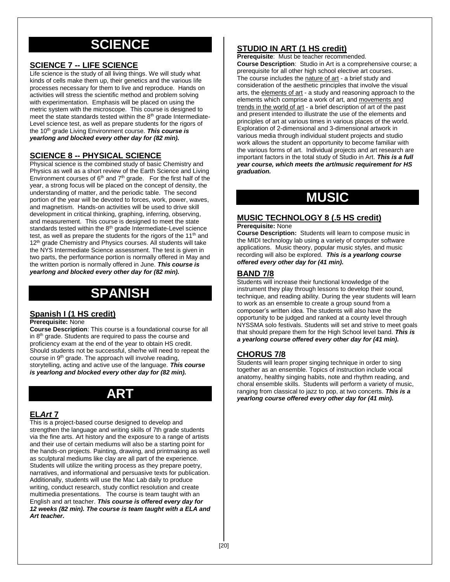# **SCIENCE**

#### **SCIENCE 7 -- LIFE SCIENCE**

Life science is the study of all living things. We will study what kinds of cells make them up, their genetics and the various life processes necessary for them to live and reproduce. Hands on activities will stress the scientific method and problem solving with experimentation. Emphasis will be placed on using the metric system with the microscope. This course is designed to meet the state standards tested within the  $8<sup>th</sup>$  grade Intermediate-Level science test, as well as prepare students for the rigors of the 10th grade Living Environment course. *This course is yearlong and blocked every other day for (82 min).*

#### **SCIENCE 8 -- PHYSICAL SCIENCE**

Physical science is the combined study of basic Chemistry and Physics as well as a short review of the Earth Science and Living Environment courses of  $6<sup>th</sup>$  and  $7<sup>th</sup>$  grade. For the first half of the year, a strong focus will be placed on the concept of density, the understanding of matter, and the periodic table. The second portion of the year will be devoted to forces, work, power, waves, and magnetism. Hands-on activities will be used to drive skill development in critical thinking, graphing, inferring, observing, and measurement. This course is designed to meet the state standards tested within the 8<sup>th</sup> grade Intermediate-Level science test, as well as prepare the students for the rigors of the  $11<sup>th</sup>$  and 12<sup>th</sup> grade Chemistry and Physics courses. All students will take the NYS Intermediate Science assessment. The test is given in two parts, the performance portion is normally offered in May and the written portion is normally offered in June. *This course is yearlong and blocked every other day for (82 min).*

# **SPANISH**

#### **Spanish I (1 HS credit)**

#### **Prerequisite:** None

**Course Description**: This course is a foundational course for all in 8<sup>th</sup> grade. Students are required to pass the course and proficiency exam at the end of the year to obtain HS credit. Should students not be successful, she/he will need to repeat the course in 9<sup>th</sup> grade. The approach will involve reading, storytelling, acting and active use of the language. *This course is yearlong and blocked every other day for (82 min).*

# **ART**

#### **EL***Art* **7**

This is a project-based course designed to develop and strengthen the language and writing skills of 7th grade students via the fine arts. Art history and the exposure to a range of artists and their use of certain mediums will also be a starting point for the hands-on projects. Painting, drawing, and printmaking as well as sculptural mediums like clay are all part of the experience. Students will utilize the writing process as they prepare poetry, narratives, and informational and persuasive texts for publication. Additionally, students will use the Mac Lab daily to produce writing, conduct research, study conflict resolution and create multimedia presentations. The course is team taught with an English and art teacher. *This course is offered every day for 12 weeks (82 min). The course is team taught with a ELA and Art teacher.* 

## **STUDIO IN ART (1 HS credit)**

**Prerequisite**: Must be teacher recommended.

**Course Description**: Studio in Art is a comprehensive course; a prerequisite for all other high school elective art courses. The course includes the nature of art - a brief study and consideration of the aesthetic principles that involve the visual arts, the elements of art - a study and reasoning approach to the elements which comprise a work of art, and movements and trends in the world of art - a brief description of art of the past and present intended to illustrate the use of the elements and principles of art at various times in various places of the world. Exploration of 2-dimensional and 3-dimensional artwork in various media through individual student projects and studio work allows the student an opportunity to become familiar with the various forms of art. Individual projects and art research are important factors in the total study of Studio in Art. *This is a full year course, which meets the art/music requirement for HS graduation.*

# **MUSIC**

## **MUSIC TECHNOLOGY 8 (.5 HS credit)**

#### **Prerequisite:** None

**Course Description:** Students will learn to compose music in the MIDI technology lab using a variety of computer software applications. Music theory, popular music styles, and music recording will also be explored. *This is a yearlong course offered every other day for (41 min).*

#### **BAND 7/8**

Students will increase their functional knowledge of the instrument they play through lessons to develop their sound, technique, and reading ability. During the year students will learn to work as an ensemble to create a group sound from a composer's written idea. The students will also have the opportunity to be judged and ranked at a county level through NYSSMA solo festivals. Students will set and strive to meet goals that should prepare them for the High School level band. *This is a yearlong course offered every other day for (41 min).*

#### **CHORUS 7/8**

Students will learn proper singing technique in order to sing together as an ensemble. Topics of instruction include vocal anatomy, healthy singing habits, note and rhythm reading, and choral ensemble skills. Students will perform a variety of music, ranging from classical to jazz to pop, at two concerts*. This is a yearlong course offered every other day for (41 min).*